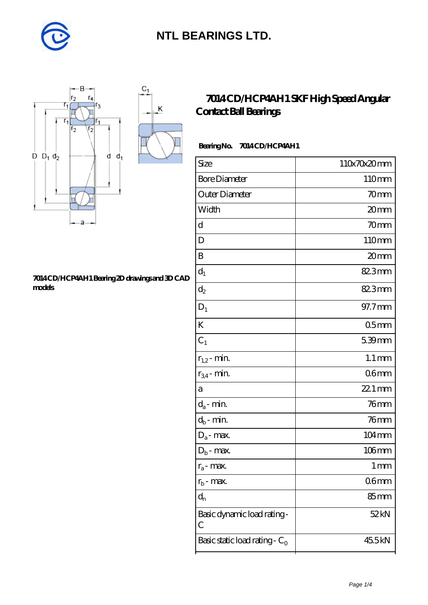



#### **[7014 CD/HCP4AH1 Bearing 2D drawings and 3D CAD](https://m.diabetesfriends.net/pic-590811.html) [models](https://m.diabetesfriends.net/pic-590811.html)**

### **[7014 CD/HCP4AH1 SKF High Speed Angular](https://m.diabetesfriends.net/skf-bearing/7014-cd-hcp4ah1.html) [Contact Ball Bearings](https://m.diabetesfriends.net/skf-bearing/7014-cd-hcp4ah1.html)**

### Bearing No. 7014 CD/HCP4AH1

| Size                             | 110x70x20mm         |
|----------------------------------|---------------------|
| <b>Bore Diameter</b>             | 110mm               |
| Outer Diameter                   | 70mm                |
| Width                            | 20mm                |
| $\mathbf d$                      | 70mm                |
| D                                | 110mm               |
| B                                | 20mm                |
| $d_1$                            | 82.3mm              |
| $\mathrm{d}_2$                   | 82.3mm              |
| $D_1$                            | 97.7mm              |
| K                                | 05 <sub>mm</sub>    |
| $C_1$                            | 5.39mm              |
| $r_{1,2}$ - min.                 | $1.1 \,\mathrm{mm}$ |
| $r_{34}$ - min.                  | 06 <sub>mm</sub>    |
| a                                | 22.1 mm             |
| $d_a$ - min.                     | $76$ mm             |
| $d_b$ - min.                     | $76$ mm             |
| $D_a$ - max.                     | $104 \,\mathrm{mm}$ |
| $D_b$ - max.                     | $106$ mm            |
| $r_a$ - max.                     | 1 mm                |
| $r_{b}$ - max.                   | 06mm                |
| $d_{n}$                          | 85 <sub>mm</sub>    |
| Basic dynamic load rating-<br>С  | 52 kN               |
| Basic static load rating - $C_0$ | 45.5kN              |
|                                  |                     |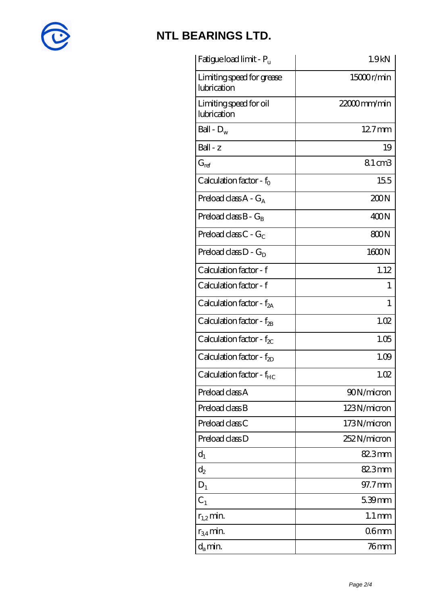

| Fatigue load limit - Pu                  | 1.9 <sub>kN</sub>   |
|------------------------------------------|---------------------|
| Limiting speed for grease<br>lubrication | 15000r/min          |
| Limiting speed for oil<br>lubrication    | $2200$ mm/min       |
| Ball - $D_w$                             | 127mm               |
| Ball - z                                 | 19                  |
| $G_{ref}$                                | 81cm3               |
| Calculation factor - $f_0$               | 155                 |
| Preload class $A - G_A$                  | 200N                |
| Preload class $B - G_B$                  | 400N                |
| Preload class $C - G_C$                  | 800N                |
| Preload class $D - G_D$                  | 1600N               |
| Calculation factor - f                   | 1.12                |
| Calculation factor - f                   | 1                   |
| Calculation factor - f <sub>2A</sub>     | 1                   |
| Calculation factor - $f_{2B}$            | 1.02                |
| Calculation factor - $f_{\chi}$          | 1.05                |
| Calculation factor - $f_{2D}$            | 1.09                |
| Calculation factor - f <sub>HC</sub>     | 1.02                |
| Preload class A                          | 90N/micron          |
| Preload class B                          | 123N/micron         |
| Preload class C                          | 173N/micron         |
| Preload class D                          | 252N/micron         |
| $d_1$                                    | 82.3mm              |
| $d_2$                                    | 82.3mm              |
| $D_1$                                    | 97.7mm              |
| $C_1$                                    | 5.39mm              |
| $r_{1,2}$ min.                           | $1.1 \,\mathrm{mm}$ |
| $r_{34}$ min.                            | 06 <sub>mm</sub>    |
| $d_a$ min.                               | 76 mm               |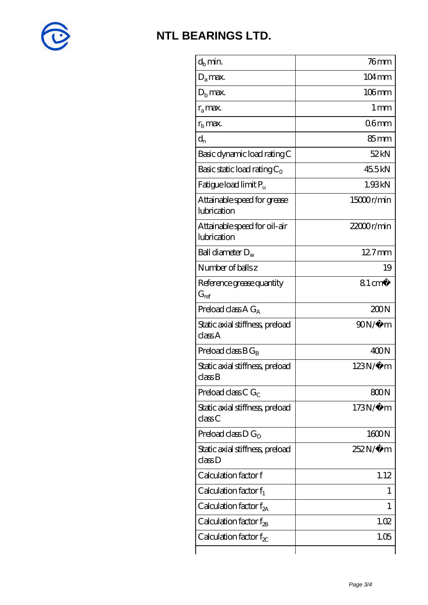

| $d_h$ min.                                  | 76 <sub>mm</sub>    |
|---------------------------------------------|---------------------|
| $D_a$ max.                                  | $104 \,\mathrm{mm}$ |
| $Db$ max.                                   | $106$ mm            |
| $r_a$ max.                                  | $1 \,\mathrm{mm}$   |
| $rb$ max.                                   | 06 <sub>mm</sub>    |
| $d_{n}$                                     | 85mm                |
| Basic dynamic load rating C                 | 52kN                |
| Basic static load rating $C_0$              | 45.5kN              |
| Fatigue load limit $P_u$                    | 1.93kN              |
| Attainable speed for grease<br>lubrication  | 15000r/min          |
| Attainable speed for oil-air<br>lubrication | 22000r/min          |
| Ball diameter $D_w$                         | $127$ mm            |
| Number of balls z                           | 19                  |
| Reference grease quantity<br>$G_{ref}$      | $81 \text{ cm}^3$   |
| Preload class $AG_A$                        | 200N                |
| Static axial stiffness, preload<br>classA   | $90N/\mu$ m         |
| Preload class $BG_R$                        | 400N                |
| Static axial stiffness, preload<br>classB   | $123N/\mu$ m        |
| Preload class C $G_C$                       | 800N                |
| Static axial stiffness, preload<br>classC   | 173N/μ m            |
| Preload class $D G_D$                       | 1600N               |
| Static axial stiffness, preload<br>classD   | 252N/µ m            |
| Calculation factor f                        | 1.12                |
| Calculation factor $f_1$                    | 1                   |
| C alculation factor $f_{2A}$                | 1                   |
| Calculation factor $f_{2B}$                 | 1.02                |
| Calculation factor $f_{\chi}$               | 1.05                |
|                                             |                     |